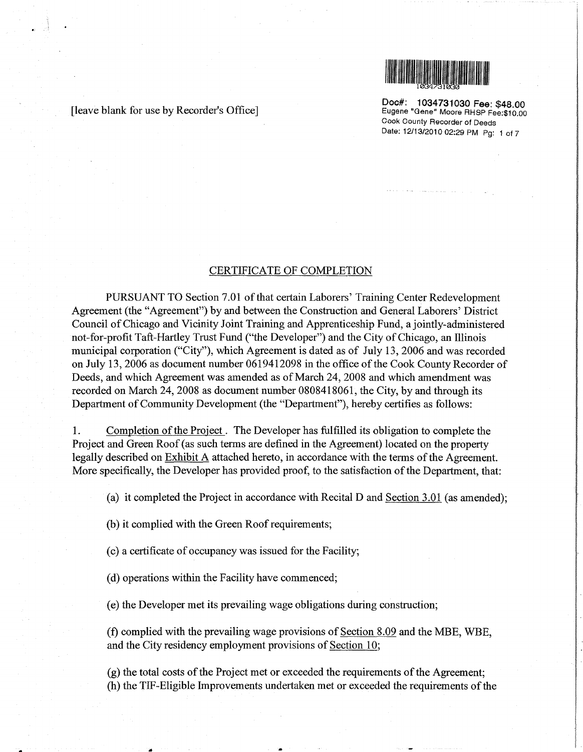

[leave blank for use by Recorder's Office]

Doc#: 1034731030 Fee: \$48.00 Eugene "Gene" Moore RHSP Fee:\$10.00 Cook County Recorder of Deeds Date: 12/13/2010 02:29 PM Pg: 1 of 7

## CERTIFICATE OF COMPLETION

PURSUANT TO Section 7.01 of that certain Laborers' Training Center Redevelopment Agreement (the "Agreement") by and between the Construction and General Laborers' District Council of Chicago and Vicinity Joint Training and Apprenticeship Fund, a jointly-administered not-for-profit Taft-Hartley Trust Fund ("the Developer") and the City of Chicago, an Illinois municipal corporation ("City"), which Agreement is dated as of July 13, 2006 and was recorded on July 13, 2006 as document number 0619412098 in the office of the Cook County Recorder of Deeds, and which Agreement was amended as of March 24,2008 and which amendment was recorded on March 24, 2008 as document number 0808418061, the City, by and through its Department of Community Development (the "Department"), hereby certifies as follows:

1. Completion of the Project . The Developer has fulfilled its obligation to complete the Project and Green Roof (as such terms are defined in the Agreement) located on the property legally described on Exhibit A attached hereto, in accordance with the terms of the Agreement. More specifically, the Developer has provided proof, to the satisfaction of the Department, that:

(a) it completed the Project in accordance with Recital D and Section 3.01 (as amended);

(b) it complied with the Green Roof requirements;

(c) a certificate of occupancy was issued for the Facility;

(d) operations within the Facility have commenced;

(e) the Developer met its prevailing wage obligations during construction;

(f) complied with the prevailing wage provisions of Section 8.09 and the MBE, WBE, and the City residency employment provisions of Section 10;

(g) the total costs of the Project met or exceeded the requirements of the Agreement; (h) the TIF-Eligible Improvements undertaken met or exceeded the requirements of the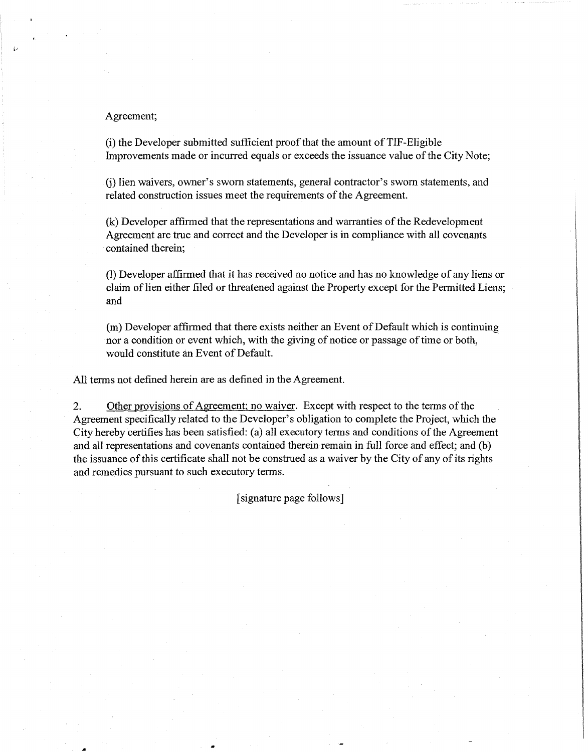### Agreement;

(i) the Developer submitted sufficient proof that the amount ofTIF-Eligible Improvements made or incurred equals or exceeds the issuance value of the City Note;

(j) lien waivers, owner's sworn statements, general contractor's sworn statements, and related construction issues meet the requirements of the Agreement.

(k) Developer affirmed that the representations and warranties of the Redevelopment Agreement are true and correct and the Developer is in compliance with all covenants contained therein;

(1) Developer affirmed that it has received no notice and has no knowledge of any liens or claim of lien either filed or threatened against the Property except for the Permitted Liens; and

(m) Developer affirmed that there exists neither an Event of Default which is continuing nor a condition or event which, with the giving of notice or passage of time or both, would constitute an Event of Default.

All terms not defined herein are as defined in the Agreement.

2. Other provisions of Agreement; no waiver. Except with respect to the terms of the Agreement specifically related to the Developer's obligation to complete the Project, which the City hereby certifies has been satisfied: (a) all executory terms and conditions of the Agreement and all representations and covenants contained therein remain in full force and effect; and (b) the issuance of this certificate shall not be construed as a waiver by the City of any of its rights and remedies pursuant to such executory terms.

[signature page follows]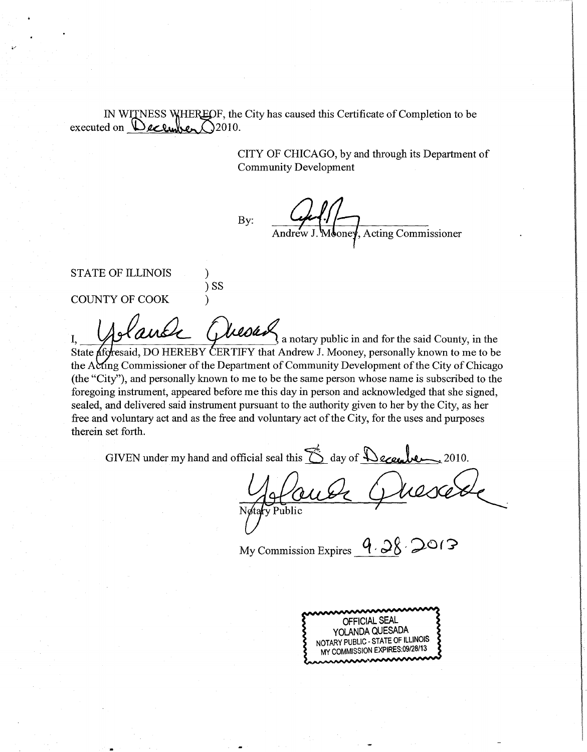IN WITNESS WHEREOF, the City has caused this Certificate of Completion to be executed on  $\triangle$ ecumber  $\triangle$ 2010.

> CITY OF CHICAGO, by and through its Department of Community Development

By:

) ss

**Acting Commissioner** 

STATE OF ILLINOIS

COUNTY OF COOK (1)

Lauce Glussan,  $\alpha$  is notary public in and for the said County, in the State *d*foresaid, DO HEREBY CERTIFY that Andrew J. Mooney, personally known to me to be the Acting Commissioner of the Department of Community Development of the City of Chicago (the "City"), and personally known to me to be the same person whose name is subscribed to the foregoing instrument, appeared before me this day in person and acknowledged that she signed, sealed, and delivered said instrument pursuant to the authority given to her by the City, as her free and voluntary act and as the free and voluntary act of the City, for the uses and purposes therein set forth.

GIVEN under my hand and official seal this 6 day of December  $\,2010.$ 

My Commission Expires  $9.28$ 

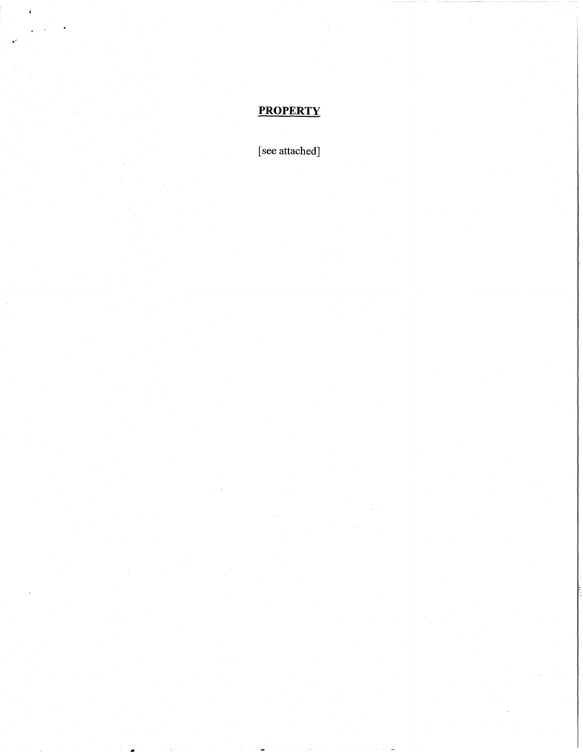# **PROPERTY**

[see attached]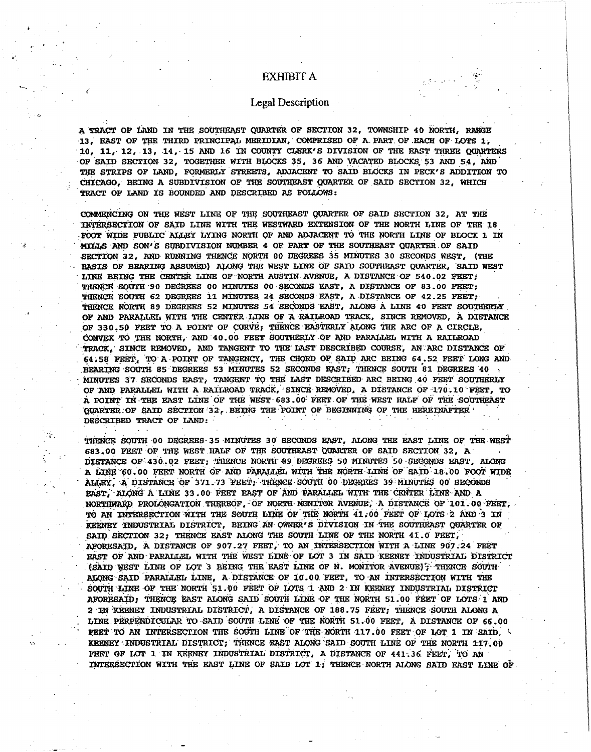## **EXHIBIT A**

### **Legal Description**

A TRACT OF LAND IN THE SOUTHEAST OUARTER OF SECTION 32, TOWNSHIP 40 NORTH, RANGE 13. RAST OF THE THIRD PRINCIPAL MERIDIAN, COMPRISED OF A PART OF EACH OF LOTS 1. 10, 11, 12, 13, 14, 15 AND 16 IN COUNTY CLERK'S DIVISION OF THE RAST THREE QUARTERS OF SAID SECTION 32, TOGETHER WITH BLOCKS 35, 36 AND VACATED BLOCKS 53 AND 54, AND THE STRIPS OF LAND, FORMERLY STREETS, ADJACENT TO SAID BLOCKS IN PECK'S ADDITION TO CHICAGO, BEING A SUBDIVISION OF THE SOUTHEAST QUARTER OF SAID SECTION 32, WHICH TRACT OF LAND IS BOUNDED AND DESCRIBED AS FOLLOWS:

COMMENCING ON THE WEST LINE OF THE SOUTHEAST QUARTER OF SAID SECTION 32, AT THE INTERSECTION OF SAID LINE WITH THE WESTWARD EXTENSION OF THE NORTH LINE OF THE 18 FOOT WIDE PUBLIC ALLEY LYING NORTH OF AND ADJACENT TO THE NORTH LINE OF BLOCK 1 IN MILLS AND SON'S SUBDIVISION NUMBER 4 OF PART OF THE SOUTHEAST QUARTER OF SAID SECTION 32. AND RUNNING THENCE NORTH 00 DEGREES 35 MINUTES 30 SECONDS WEST. (THE BASIS OF BEARING ASSUMED) ALONG THE WEST LINE OF SAID SOUTHEAST QUARTER. SAID WEST LINE BEING THE CENTER LINE OF NORTH AUSTIN AVENUE, A DISTANCE OF 540.02 FEET: THENCE SOUTH 90 DEGREES 00 MINUTES 00 SECONDS EAST, A DISTANCE OF 83.00 FEET; THENCE SOUTH 62 DEGREES 11 MINUTES 24 SECONDS EAST, A DISTANCE OF 42.25 FEET, THENCE NORTH 89 DEGREES 52 MINUTES 54 SECONDS EAST, ALONG A LINE 40 FEET SOUTHERLY OF AND PARALLEL WITH THE CENTER LINE OF A RAILROAD TRACK, SINCE REMOVED, A DISTANCE OF 330.50 FEET TO A POINT OF CURVE; THENCE EASTERLY ALONG THE ARC OF A CIRCLE, CONVEX TO THE NORTH, AND 40.00 FEET SOUTHERLY OF AND PARALLEL WITH A RAILROAD TRACK, SINCE REMOVED, AND TANGENT TO THE LAST DESCRIBED COURSE, AN ARC DISTANCE OF 64.58 FEET, TO A POINT OF TANGENCY, THE CHORD OF SAID ARC BEING 64.52 FEET LONG AND BEARTING SOUTH 85 DEGREES 53 MINUTES 52 SECONDS RAST: THENCE SOUTH 81 DEGREES 40 MINUTES 37 SECONDS EAST, TANGENT TO THE LAST DESCRIBED ARC BEING 40 FEET SOUTHERLY OF AND PARALLEL WITH A RATLROAD TRACK, SINCE REMOVED, A DISTANCE OF 170.10 FEET, TO A POINT IN THE EAST LINE OF THE WEST 683.00 FEET OF THE WEST HALF OF THE SOUTHEAST QUARTER OF SAID SECTION 32, BEING THE POINT OF BEGINNING OF THE HEREINAFTER DESCRIBED TRACT OF LAND:

THENCE SOUTH 00 DEGREES 35 MINUTES 30 SECONDS EAST, ALONG THE EAST LINE OF THE WEST 683.00 FEET OF THE WEST HALF OF THE SOUTHEAST QUARTER OF SAID SECTION 32, A DISTANCE OF 430.02 FEET; THENCE NORTH 89 DECREES 50 MINUTES 50 SECONDS RAST, ALONG A LINE 60.00 FEET NORTH OF AND PARALLEL WITH THE NORTH LINE OF SAID 18.00 FOOT WIDE ALLEY, A DISTANCE OF 371.73 FEET, THENCE SOUTH 00 DECREES 39 MINUTES 00 SECONDS EAST. ALONG A LINE 33.00 FEET EAST OF AND PARALLEL WITH THE CENTER LINE AND A NORTHWARD PROLONGATION THEREOF, OF NORTH MONITOR AVENUE, A DISTANCE OF 101.00 FEET, TO AN INTERSECTION WITH THE SOUTH LINE OF THE NORTH 41.00 FEET OF LOTS 2 AND 3 IN KEENEY INDUSTRIAL DISTRICT, BEING AN OWNER'S DIVISION IN THE SOUTHEAST QUARTER OF SAID SECTION 32; THENCE EAST ALONG THE SOUTH LINE OF THE NORTH 41.0 FEET. AFORESAID, A DISTANCE OF 907.27 FEET, TO AN INTERSECTION WITH A LINE 907.24 FEET EAST OF AND PARALLEL WITH THE WEST LINE OF LOT 3 IN SAID KEENEY INDUSTRIAL DISTRICT (SAID WEST LINE OF LOT 3 BEING THE EAST LINE OF N. MONITOR AVENUE); THENCE SOUTH ALONG SAID PARALLEL LINE, A DISTANCE OF 10.00 FEET, TO AN INTERSECTION WITH THE SOUTH LINE OF THE NORTH 51.00 FEET OF LOTS 1 AND 2 IN KEENEY INDUSTRIAL DISTRICT AFORESAID, THENCE EAST ALONG SAID SOUTH LINE OF THE NORTH 51.00 FEET OF LOTS 1 AND 2 IN KEENEY INDUSTRIAL DISTRICT, A DISTANCE OF 188.75 FEET, THENCE SOUTH ALONG A LINE PERPENDICULAR TO SAID SOUTH LINE OF THE NORTH 51.00 FEET, A DISTANCE OF 66.00 FEET TO AN INTERSECTION THE SOUTH LINE OF THE NORTH 117.00 FEET OF LOT 1 IN SAID, 5 KEENEY INDUSTRIAL DISTRICT; THENCE EAST ALONG SAID SOUTH LINE OF THE NORTH 117.00 FEET OF LOT 1 IN KEENEY INDUSTRIAL DISTRICT, A DISTANCE OF 441.36 FEET, TO AN INTERSECTION WITH THE EAST LINE OF SAID LOT 1; THENCE NORTH ALONG SAID EAST LINE OF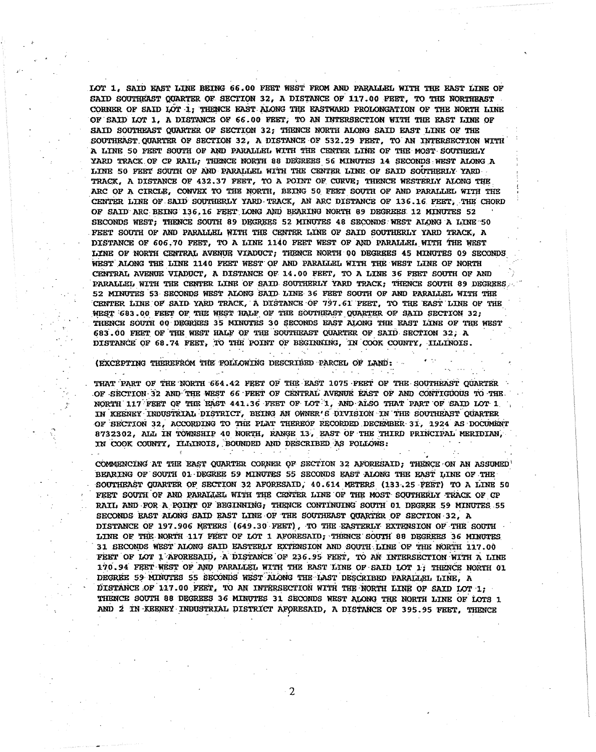LOT 1. SAID EAST LINE BEING 66.00 FEET WEST FROM AND PARALLEL WITH THE EAST LINE OF SAID SOUTHEAST QUARTER OF SECTION 32, A DISTANCE OF 117.00 FEET, TO THE NORTHEAST CORNER OF SAID LOT 1; THENCE EAST ALONG THE EASTWARD PROLONGATION OF THE NORTH LINE OF SAID LOT 1, A DISTANCE OF 66.00 FEET, TO AN INTERSECTION WITH THE EAST LINE OF SAID SOUTHEAST QUARTER OF SECTION 32; THENCE NORTH ALONG SAID EAST LINE OF THE SOUTHEAST OUARTER OF SECTION 32. A DISTANCE OF 532.29 FEET. TO AN INTERSECTION WITH A LINE 50 FEET SOUTH OF AND PARALLEL WITH THE CENTER LINE OF THE MOST SOUTHERLY YARD TRACK OF CP RAIL; THENCE NORTH 88 DEGREES 56 MINUTES 14 SECONDS WEST ALONG A LINE 50 FERT SOUTH OF AND PARALLEL WITH THE CENTER LINE OF SAID SOUTHERLY YARD TRACK, A DISTANCE OF 432.37 FEET, TO A POINT OF CURVE; THENCE WESTERLY ALONG THE ARC OF A CIRCLE, CONVEX TO THE NORTH, BEING 50 FEET SOUTH OF AND PARALLEL WITH THE CENTER LINE OF SAID SOUTHERLY YARD TRACK, AN ARC DISTANCE OF 136.16 FEET, THE CHORD OF SAID ARC BEING 136.16 FEET LONG AND BEARING NORTH 89 DEGREES 12 MINUTES 52 SECONDS WEST: THENCE SOUTH 89 DEGREES 52 MINUTES 48 SECONDS WEST ALONG A LINE 50 FEET SOUTH OF AND PARALLEL WITH THE CENTRR LINE OF SAID SOUTHERLY YARD TRACK, A DISTANCE OF 606.70 FEET, TO A LINE 1140 FEET WEST OF AND PARALLEL WITH THE WEST LINE OF NORTH CENTRAL AVENUE VIADUCT; THENCE NORTH 00 DEGREES 45 MINUTES 09 SECONDS WEST ALONG THE LINE 1140 FEET WEST OF AND PARALLEL WITH THE WEST LINE OF NORTH CENTRAL AVENUE VIADUCT, A DISTANCE OF 14.00 FEET, TO A LINE 36 FEET SOUTH OF AND PARALLEL WITH THE CENTER LINE OF SAID SOUTHERLY YARD TRACK: THENCE SOUTH 89 DEGREES 52 MINUTES 53 SECONDS WEST ALONG SAID LINE 36 FEET SOUTH OF AND PARALLEL WITH THE CENTER LINE OF SAID YARD TRACK, A DISTANCE OF 797.61 FEET, TO THE EAST LINE OF THE WEST 683.00 FEET OF THE WEST HALF OF THE SOUTHEAST QUARTER OF SAID SECTION 32; THENCE SOUTH 00 DEGREES 35 MINUTES 30 SECONDS EAST ALONG THE EAST LINE OF THE WEST 683.00 FEET OF THE WEST HALF OF THE SOUTHEAST QUARTER OF SAID SECTION 32, A DISTANCE OF 68.74 FEET, TO THE POINT OF BEGINNING, IN COOK COUNTY, ILLINOIS.

(EXCEPTING THEREFROM THE FOLLOWING DESCRIBED PARCEL OF LAND:

 $\mathcal{L}(\mathbf{X})$  and  $\mathcal{L}(\mathbf{X})$ 

 $\sim 10$ 

 $\mathcal{L}^{\text{max}}$ 

 $\sim 100$ 

 $\sim 10^{-1}$ 

THAT PART OF THE NORTH 664.42 FEET OF THE EAST 1075 FEET OF THE SOUTHEAST QUARTER OF SECTION 32 AND THE WEST 66 FEET OF CENTRAL AVENUE EAST OF AND CONTIGUOUS TO THE NORTH 117 FEET OF THE EAST 441.36 FEET OF LOT 1, AND ALSO THAT PART OF SAID LOT 1 IN KEENEY INDUSTRIAL DISTRICT, BEING AN OWNER'S DIVISION IN THE SOUTHEAST QUARTER OF SECTION 32, ACCORDING TO THE PLAT THEREOF RECORDED DECEMBER 31, 1924 AS DOCUMENT 8732302, ALL IN TOWNSHIP 40 NORTH, RANGE 13, EAST OF THE THIRD PRINCIPAL MERIDIAN, IN COOK COUNTY, ILLINOIS, BOUNDED AND DESCRIBED AS FOLLOWS:

 $\label{eq:2} \mathcal{L}(\mathcal{L}^{\mathcal{L}}(\mathcal{L}^{\mathcal{L}}(\mathcal{L}^{\mathcal{L}}(\mathcal{L}^{\mathcal{L}}(\mathcal{L}^{\mathcal{L}}(\mathcal{L}^{\mathcal{L}}(\mathcal{L}^{\mathcal{L}}(\mathcal{L}^{\mathcal{L}}))))))$ 

 $\sim$ 

**Service** 

**Contract** 

COMMENCING AT THE EAST QUARTER CORNER OF SECTION 32 AFORESAID; THENCE ON AN ASSUMED BEARING OF SOUTH 01 DEGREE 59 MINUTES 55 SECONDS EAST ALONG THE EAST LINE OF THE SOUTHEAST QUARTER OF SECTION 32 AFORESAID, 40.614 METERS (133.25 FEET) TO A LINE 50 FEET SOUTH OF AND PARALLEL WITH THE CENTER LINE OF THE MOST SOUTHERLY TRACK OF CP RAIL AND FOR A POINT OF BEGINNING, THENCE CONTINUING SOUTH 01 DEGREE 59 MINUTES 55 SECONDS RAST ALONG SAID EAST LINE OF THE SOUTHEAST QUARTER OF SECTION 32, A DISTANCE OF 197.906 METERS (649.30 FEET), TO THE EASTERLY EXTENSION OF THE SOUTH LINE OF THE NORTH 117 FEET OF LOT 1 AFORESAID; THENCE SOUTH 88 DEGREES 36 MINUTES 31 SECONDS WEST ALONG SAID EASTERLY EXTENSION AND SOUTH LINE OF THE NORTH 117.00 FEET OF LOT 1 AFORESAID, A DISTANCE OF 236.95 FEET, TO AN INTERSECTION WITH A LINE 170.94 FEET WEST OF AND PARALLEL WITH THE EAST LINE OF SAID LOT 1; THENCE NORTH 01 DEGREE 59 MINUTES 55 SECONDS WEST ALONG THE LAST DESCRIBED PARALLEL LINE, A DISTANCE OF 117.00 FEET, TO AN INTERSECTION WITH THE NORTH LINE OF SAID LOT 1. THENCE SOUTH 88 DEGREES 36 MINUTES 31 SECONDS WEST ALONG THE NORTH LINE OF LOTS 1 AND 2 IN KEENEY INDUSTRIAL DISTRICT AFORESAID, A DISTANCE OF 395.95 FEET, THENCE

 $\overline{2}$